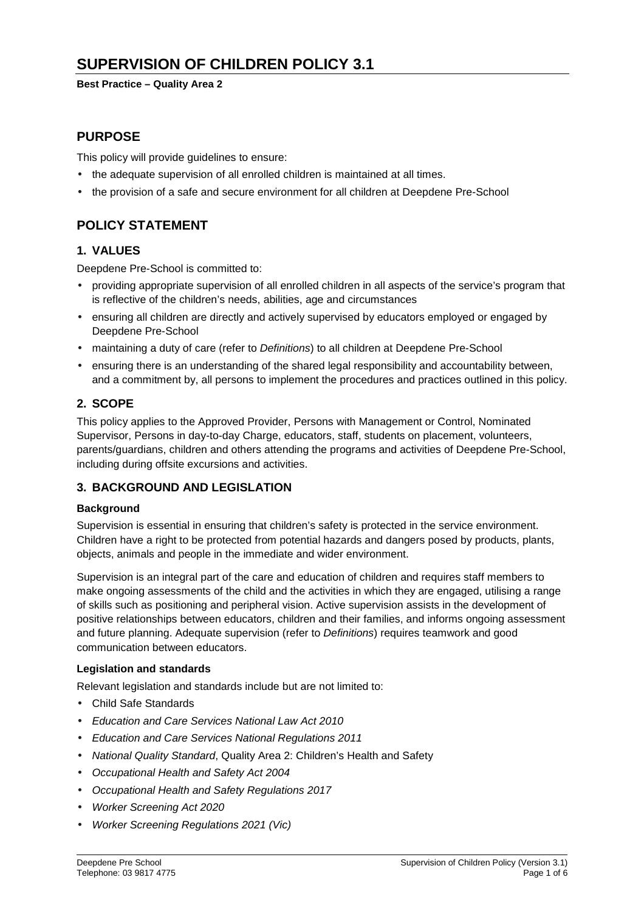**Best Practice – Quality Area 2** 

## **PURPOSE**

This policy will provide guidelines to ensure:

- the adequate supervision of all enrolled children is maintained at all times.
- the provision of a safe and secure environment for all children at Deepdene Pre-School

# **POLICY STATEMENT**

### **1. VALUES**

Deepdene Pre-School is committed to:

- providing appropriate supervision of all enrolled children in all aspects of the service's program that is reflective of the children's needs, abilities, age and circumstances
- ensuring all children are directly and actively supervised by educators employed or engaged by Deepdene Pre-School
- maintaining a duty of care (refer to Definitions) to all children at Deepdene Pre-School
- ensuring there is an understanding of the shared legal responsibility and accountability between, and a commitment by, all persons to implement the procedures and practices outlined in this policy.

### **2. SCOPE**

This policy applies to the Approved Provider, Persons with Management or Control, Nominated Supervisor, Persons in day-to-day Charge, educators, staff, students on placement, volunteers, parents/guardians, children and others attending the programs and activities of Deepdene Pre-School, including during offsite excursions and activities.

## **3. BACKGROUND AND LEGISLATION**

#### **Background**

Supervision is essential in ensuring that children's safety is protected in the service environment. Children have a right to be protected from potential hazards and dangers posed by products, plants, objects, animals and people in the immediate and wider environment.

Supervision is an integral part of the care and education of children and requires staff members to make ongoing assessments of the child and the activities in which they are engaged, utilising a range of skills such as positioning and peripheral vision. Active supervision assists in the development of positive relationships between educators, children and their families, and informs ongoing assessment and future planning. Adequate supervision (refer to Definitions) requires teamwork and good communication between educators.

#### **Legislation and standards**

Relevant legislation and standards include but are not limited to:

- Child Safe Standards
- Education and Care Services National Law Act 2010
- Education and Care Services National Regulations 2011
- National Quality Standard, Quality Area 2: Children's Health and Safety
- Occupational Health and Safety Act 2004
- Occupational Health and Safety Regulations 2017
- Worker Screening Act 2020
- Worker Screening Regulations 2021 (Vic)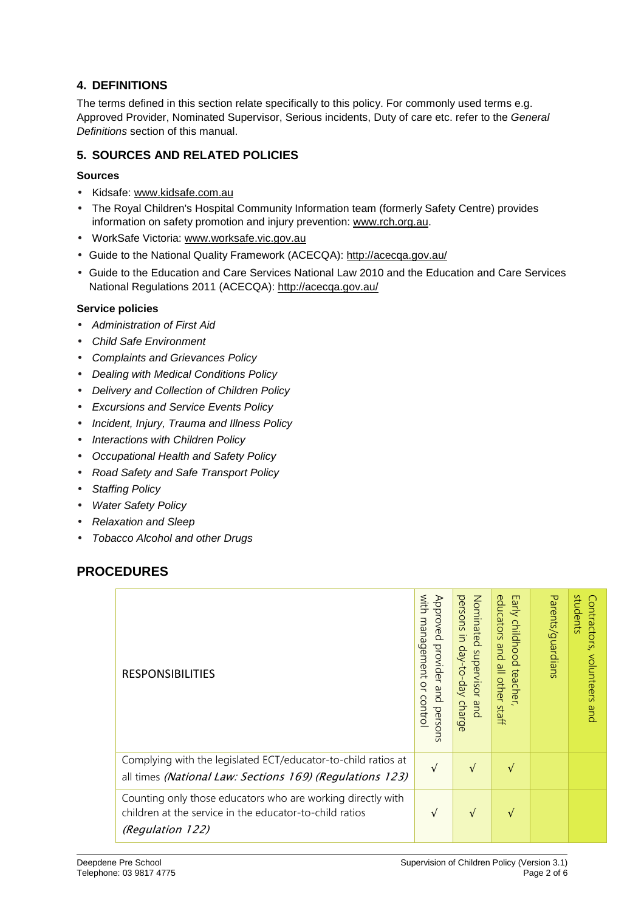## **4. DEFINITIONS**

The terms defined in this section relate specifically to this policy. For commonly used terms e.g. Approved Provider, Nominated Supervisor, Serious incidents, Duty of care etc. refer to the General Definitions section of this manual.

## **5. SOURCES AND RELATED POLICIES**

### **Sources**

- Kidsafe: www.kidsafe.com.au
- The Royal Children's Hospital Community Information team (formerly Safety Centre) provides information on safety promotion and injury prevention: www.rch.org.au.
- WorkSafe Victoria: www.worksafe.vic.gov.au
- Guide to the National Quality Framework (ACECQA): http://acecqa.gov.au/
- Guide to the Education and Care Services National Law 2010 and the Education and Care Services National Regulations 2011 (ACECQA): http://acecqa.gov.au/

### **Service policies**

- Administration of First Aid
- Child Safe Environment
- Complaints and Grievances Policy
- Dealing with Medical Conditions Policy
- Delivery and Collection of Children Policy
- Excursions and Service Events Policy
- Incident, Injury, Trauma and Illness Policy
- Interactions with Children Policy
- Occupational Health and Safety Policy
- Road Safety and Safe Transport Policy
- Staffing Policy
- Water Safety Policy
- Relaxation and Sleep
- Tobacco Alcohol and other Drugs

## **PROCEDURES**

| <b>RESPONSIBILITIES</b>                                                                                                                    | with<br>Approved<br>management<br>provider and<br>$\overline{a}$<br>control<br>persons | Nominated supervisor and<br>persons<br>$\equiv$<br>day-to-day<br>charge | educators<br>Early childhood<br>pue<br>all other<br>teacher<br>staff | Parents/guardians | students<br>€<br>ontractors,<br>volunteers<br>and |
|--------------------------------------------------------------------------------------------------------------------------------------------|----------------------------------------------------------------------------------------|-------------------------------------------------------------------------|----------------------------------------------------------------------|-------------------|---------------------------------------------------|
| Complying with the legislated ECT/educator-to-child ratios at<br>all times (National Law: Sections 169) (Regulations 123)                  | $\sqrt{ }$                                                                             | $\sqrt{ }$                                                              | $\sqrt{ }$                                                           |                   |                                                   |
| Counting only those educators who are working directly with<br>children at the service in the educator-to-child ratios<br>(Regulation 122) | V                                                                                      | $\sqrt{ }$                                                              | V                                                                    |                   |                                                   |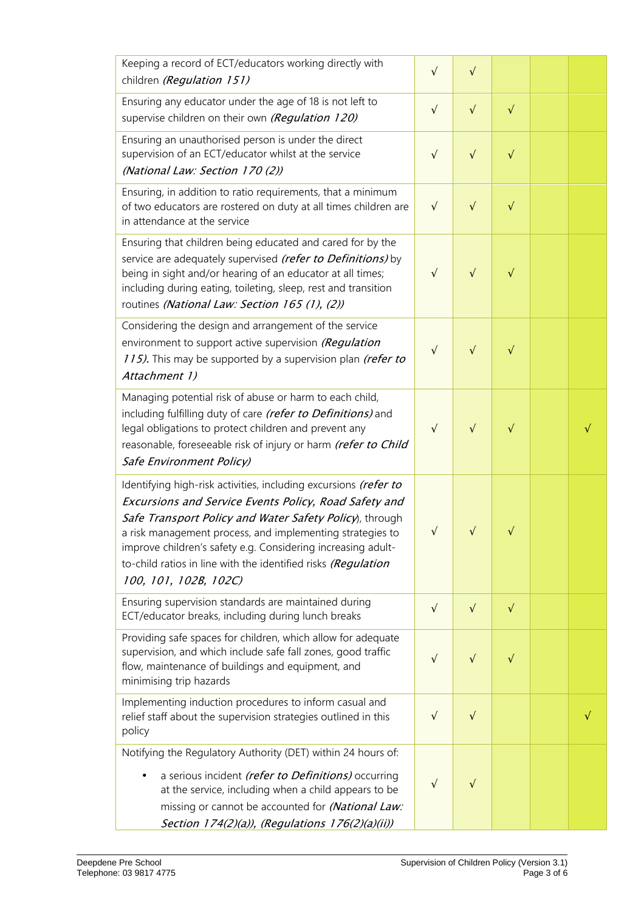| Keeping a record of ECT/educators working directly with<br>children (Regulation 151)                                                                                                                                                                                                                                                                                                                        | $\sqrt{}$  | $\sqrt{}$  |           |  |
|-------------------------------------------------------------------------------------------------------------------------------------------------------------------------------------------------------------------------------------------------------------------------------------------------------------------------------------------------------------------------------------------------------------|------------|------------|-----------|--|
| Ensuring any educator under the age of 18 is not left to<br>supervise children on their own (Regulation 120)                                                                                                                                                                                                                                                                                                | $\sqrt{}$  | $\sqrt{}$  | $\sqrt{}$ |  |
| Ensuring an unauthorised person is under the direct<br>supervision of an ECT/educator whilst at the service<br>(National Law: Section 170 (2))                                                                                                                                                                                                                                                              | $\sqrt{}$  | $\sqrt{}$  | $\sqrt{}$ |  |
| Ensuring, in addition to ratio requirements, that a minimum<br>of two educators are rostered on duty at all times children are<br>in attendance at the service                                                                                                                                                                                                                                              | $\sqrt{ }$ | $\sqrt{ }$ | $\sqrt{}$ |  |
| Ensuring that children being educated and cared for by the<br>service are adequately supervised (refer to Definitions) by<br>being in sight and/or hearing of an educator at all times;<br>including during eating, toileting, sleep, rest and transition<br>routines (National Law: Section 165 (1), (2))                                                                                                  | $\sqrt{}$  | $\sqrt{}$  | $\sqrt{}$ |  |
| Considering the design and arrangement of the service<br>environment to support active supervision (Regulation<br>115). This may be supported by a supervision plan (refer to<br>Attachment 1)                                                                                                                                                                                                              | $\sqrt{}$  | $\sqrt{}$  | $\sqrt{}$ |  |
| Managing potential risk of abuse or harm to each child,<br>including fulfilling duty of care (refer to Definitions) and<br>legal obligations to protect children and prevent any<br>reasonable, foreseeable risk of injury or harm (refer to Child<br>Safe Environment Policy)                                                                                                                              | $\sqrt{}$  | $\sqrt{}$  | $\sqrt{}$ |  |
| Identifying high-risk activities, including excursions (refer to<br>Excursions and Service Events Policy, Road Safety and<br>Safe Transport Policy and Water Safety Policy), through<br>a risk management process, and implementing strategies to<br>improve children's safety e.g. Considering increasing adult-<br>to-child ratios in line with the identified risks (Regulation<br>100, 101, 102B, 102C) | $\sqrt{}$  | V          | V         |  |
| Ensuring supervision standards are maintained during<br>ECT/educator breaks, including during lunch breaks                                                                                                                                                                                                                                                                                                  | $\sqrt{ }$ | $\sqrt{ }$ | $\sqrt{}$ |  |
| Providing safe spaces for children, which allow for adequate<br>supervision, and which include safe fall zones, good traffic<br>flow, maintenance of buildings and equipment, and<br>minimising trip hazards                                                                                                                                                                                                | $\sqrt{}$  | $\sqrt{}$  | $\sqrt{}$ |  |
| Implementing induction procedures to inform casual and<br>relief staff about the supervision strategies outlined in this<br>policy                                                                                                                                                                                                                                                                          | $\sqrt{}$  | $\sqrt{}$  |           |  |
| Notifying the Regulatory Authority (DET) within 24 hours of:<br>a serious incident (refer to Definitions) occurring<br>at the service, including when a child appears to be<br>missing or cannot be accounted for (National Law:<br>Section 174(2)(a)), (Regulations 176(2)(a)(ii))                                                                                                                         | $\sqrt{}$  |            |           |  |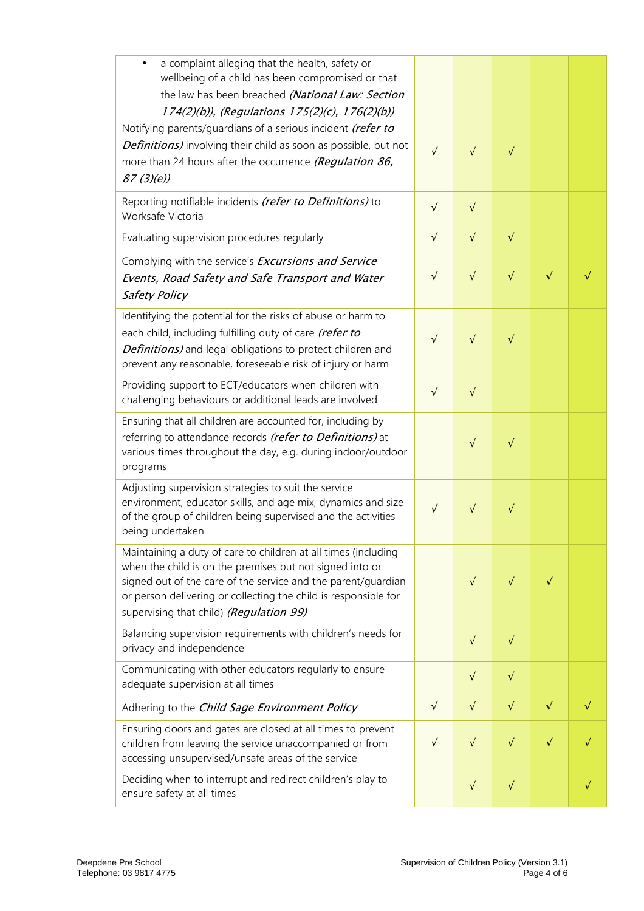| a complaint alleging that the health, safety or<br>wellbeing of a child has been compromised or that<br>the law has been breached (National Law: Section<br>174(2)(b)), (Regulations 175(2)(c), 176(2)(b))                                                                                                |            |           |           |           |           |
|-----------------------------------------------------------------------------------------------------------------------------------------------------------------------------------------------------------------------------------------------------------------------------------------------------------|------------|-----------|-----------|-----------|-----------|
| Notifying parents/guardians of a serious incident (refer to<br>Definitions) involving their child as soon as possible, but not<br>more than 24 hours after the occurrence (Regulation 86,<br>87(3)(e)                                                                                                     | $\sqrt{}$  | $\sqrt{}$ | $\sqrt{}$ |           |           |
| Reporting notifiable incidents (refer to Definitions) to<br>Worksafe Victoria                                                                                                                                                                                                                             | $\sqrt{}$  | $\sqrt{}$ |           |           |           |
| Evaluating supervision procedures regularly                                                                                                                                                                                                                                                               | $\sqrt{ }$ | $\sqrt{}$ | $\sqrt{}$ |           |           |
| Complying with the service's Excursions and Service<br>Events, Road Safety and Safe Transport and Water<br>Safety Policy                                                                                                                                                                                  | $\sqrt{ }$ | $\sqrt{}$ | $\sqrt{}$ | $\sqrt{}$ |           |
| Identifying the potential for the risks of abuse or harm to<br>each child, including fulfilling duty of care (refer to<br>Definitions) and legal obligations to protect children and<br>prevent any reasonable, foreseeable risk of injury or harm                                                        | $\sqrt{}$  | $\sqrt{}$ | $\sqrt{}$ |           |           |
| Providing support to ECT/educators when children with<br>challenging behaviours or additional leads are involved                                                                                                                                                                                          | $\sqrt{}$  | $\sqrt{}$ |           |           |           |
| Ensuring that all children are accounted for, including by<br>referring to attendance records (refer to Definitions) at<br>various times throughout the day, e.g. during indoor/outdoor<br>programs                                                                                                       |            | $\sqrt{}$ | $\sqrt{}$ |           |           |
| Adjusting supervision strategies to suit the service<br>environment, educator skills, and age mix, dynamics and size<br>of the group of children being supervised and the activities<br>being undertaken                                                                                                  | $\sqrt{}$  | $\sqrt{}$ | $\sqrt{}$ |           |           |
| Maintaining a duty of care to children at all times (including<br>when the child is on the premises but not signed into or<br>signed out of the care of the service and the parent/guardian<br>or person delivering or collecting the child is responsible for<br>supervising that child) (Regulation 99) |            | $\sqrt{}$ | V         | V         |           |
| Balancing supervision requirements with children's needs for<br>privacy and independence                                                                                                                                                                                                                  |            | $\sqrt{}$ | $\sqrt{}$ |           |           |
| Communicating with other educators regularly to ensure<br>adequate supervision at all times                                                                                                                                                                                                               |            | $\sqrt{}$ | $\sqrt{}$ |           |           |
| Adhering to the Child Sage Environment Policy                                                                                                                                                                                                                                                             | $\sqrt{ }$ | $\sqrt{}$ | $\sqrt{}$ | $\sqrt{}$ | $\sqrt{}$ |
| Ensuring doors and gates are closed at all times to prevent<br>children from leaving the service unaccompanied or from<br>accessing unsupervised/unsafe areas of the service                                                                                                                              | $\sqrt{}$  | $\sqrt{}$ | $\sqrt{}$ | $\sqrt{}$ |           |
| Deciding when to interrupt and redirect children's play to<br>ensure safety at all times                                                                                                                                                                                                                  |            | $\sqrt{}$ | $\sqrt{}$ |           | $\sqrt{}$ |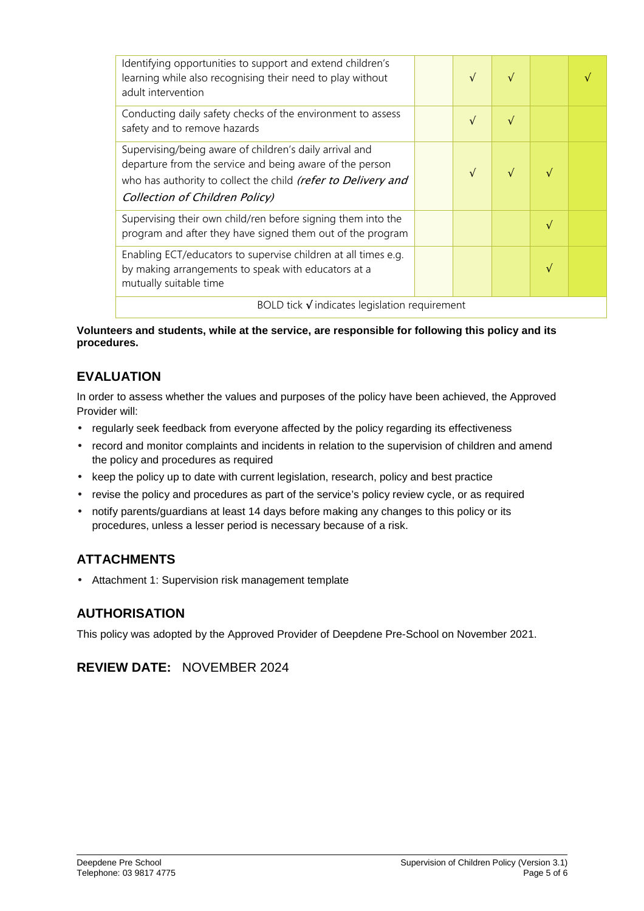| Identifying opportunities to support and extend children's<br>learning while also recognising their need to play without<br>adult intervention                                                                         |  | V          |  |   |  |
|------------------------------------------------------------------------------------------------------------------------------------------------------------------------------------------------------------------------|--|------------|--|---|--|
| Conducting daily safety checks of the environment to assess<br>safety and to remove hazards                                                                                                                            |  | $\sqrt{ }$ |  |   |  |
| Supervising/being aware of children's daily arrival and<br>departure from the service and being aware of the person<br>who has authority to collect the child (refer to Delivery and<br>Collection of Children Policy) |  | $\sqrt{ }$ |  |   |  |
| Supervising their own child/ren before signing them into the<br>program and after they have signed them out of the program                                                                                             |  |            |  | N |  |
| Enabling ECT/educators to supervise children at all times e.g.<br>by making arrangements to speak with educators at a<br>mutually suitable time                                                                        |  |            |  |   |  |
| BOLD tick $\sqrt{}$ indicates legislation requirement                                                                                                                                                                  |  |            |  |   |  |

**Volunteers and students, while at the service, are responsible for following this policy and its procedures.** 

# **EVALUATION**

In order to assess whether the values and purposes of the policy have been achieved, the Approved Provider will:

- regularly seek feedback from everyone affected by the policy regarding its effectiveness
- record and monitor complaints and incidents in relation to the supervision of children and amend the policy and procedures as required
- keep the policy up to date with current legislation, research, policy and best practice
- revise the policy and procedures as part of the service's policy review cycle, or as required
- notify parents/guardians at least 14 days before making any changes to this policy or its procedures, unless a lesser period is necessary because of a risk.

## **ATTACHMENTS**

• Attachment 1: Supervision risk management template

## **AUTHORISATION**

This policy was adopted by the Approved Provider of Deepdene Pre-School on November 2021.

## **REVIEW DATE:** NOVEMBER 2024